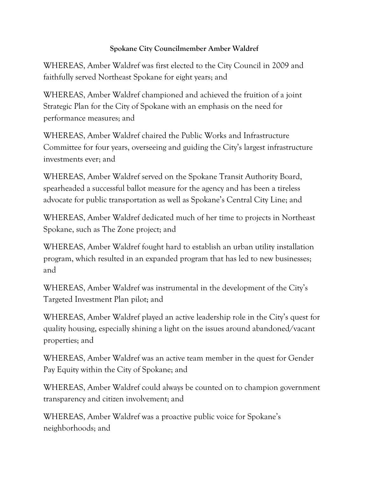## **Spokane City Councilmember Amber Waldref**

WHEREAS, Amber Waldref was first elected to the City Council in 2009 and faithfully served Northeast Spokane for eight years; and

WHEREAS, Amber Waldref championed and achieved the fruition of a joint Strategic Plan for the City of Spokane with an emphasis on the need for performance measures; and

WHEREAS, Amber Waldref chaired the Public Works and Infrastructure Committee for four years, overseeing and guiding the City's largest infrastructure investments ever; and

WHEREAS, Amber Waldref served on the Spokane Transit Authority Board, spearheaded a successful ballot measure for the agency and has been a tireless advocate for public transportation as well as Spokane's Central City Line; and

WHEREAS, Amber Waldref dedicated much of her time to projects in Northeast Spokane, such as The Zone project; and

WHEREAS, Amber Waldref fought hard to establish an urban utility installation program, which resulted in an expanded program that has led to new businesses; and

WHEREAS, Amber Waldref was instrumental in the development of the City's Targeted Investment Plan pilot; and

WHEREAS, Amber Waldref played an active leadership role in the City's quest for quality housing, especially shining a light on the issues around abandoned/vacant properties; and

WHEREAS, Amber Waldref was an active team member in the quest for Gender Pay Equity within the City of Spokane; and

WHEREAS, Amber Waldref could always be counted on to champion government transparency and citizen involvement; and

WHEREAS, Amber Waldref was a proactive public voice for Spokane's neighborhoods; and